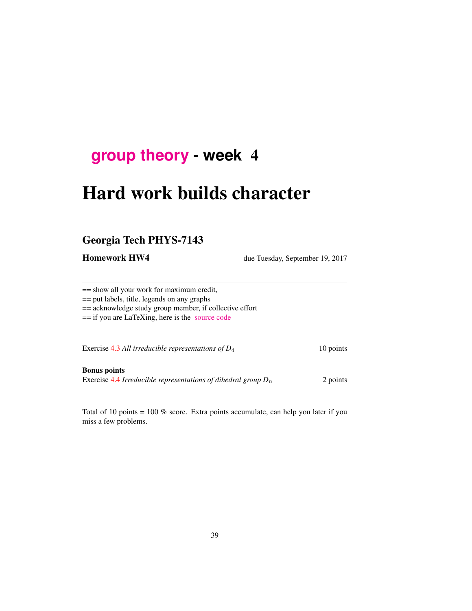# **[group theory](http://birdtracks.eu/courses/PHYS-7143-17/schedule.html) - week** 4

# Hard work builds character

# Georgia Tech PHYS-7143

**Homework HW4** due Tuesday, September 19, 2017

== show all your work for maximum credit,

== put labels, title, legends on any graphs

== acknowledge study group member, if collective effort

== if you are LaTeXing, here is the [source code](http://birdtracks.eu/courses/PHYS-7143-17/exerWeek4.tex)

Exercise 4.3 *All irreducible representations of D*<sub>4</sub> 10 points

Bonus points Exercise 4.4 *Irreducible representations of dihedral group*  $D_n$  2 points

Total of 10 points = 100 % score. Extra points accumulate, can help you later if you miss a few problems.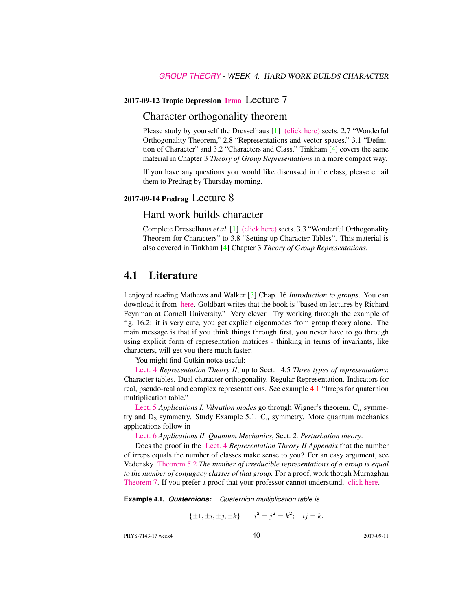#### 2017-09-12 Tropic Depression [Irma](https://characterdesignandbranding.wordpress.com/2015/10/22/why-do-the-japanese-love-irma/) Lecture 7

## Character orthogonality theorem

Please study by yourself the Dresselhaus [1] [\(click here\)](http://chaosbook.org/library/Dresselhaus07.pdf) sects. 2.7 "Wonderful Orthogonality Theorem," 2.8 "Representations and vector spaces," 3.1 "Definition of Character" and 3.2 "Characters and Class." Tinkham [4] covers the same material in Chapter 3 *Theory of Group Representations* in a more compact way.

If you have any questions you would like discussed in the class, please email them to Predrag by Thursday morning.

### 2017-09-14 Predrag Lecture 8

## Hard work builds character

Complete Dresselhaus *et al.* [1] [\(click here\)](http://chaosbook.org/library/Dresselhaus07.pdf) sects. 3.3 "Wonderful Orthogonality Theorem for Characters" to 3.8 "Setting up Character Tables". This material is also covered in Tinkham [4] Chapter 3 *Theory of Group Representations*.

## 4.1 Literature

I enjoyed reading Mathews and Walker [3] Chap. 16 *Introduction to groups*. You can download it from [here.](https://www.scribd.com/doc/225369262/Mathematical-Methods-of-Physics-2nd-Edition-Mathews-Walker) Goldbart writes that the book is "based on lectures by Richard Feynman at Cornell University." Very clever. Try working through the example of fig. 16.2: it is very cute, you get explicit eigenmodes from group theory alone. The main message is that if you think things through first, you never have to go through using explicit form of representation matrices - thinking in terms of invariants, like characters, will get you there much faster.

You might find Gutkin notes useful:

[Lect. 4](http://birdtracks.eu/courses/PHYS-7143-17/groups.pdf) *Representation Theory II*, up to Sect. 4.5 *Three types of representations*: Character tables. Dual character orthogonality. Regular Representation. Indicators for real, pseudo-real and complex representations. See example 4.1 "Irreps for quaternion multiplication table."

[Lect. 5](http://birdtracks.eu/courses/PHYS-7143-17/groups.pdf) *Applications I. Vibration modes* go through Wigner's theorem,  $C_n$  symmetry and  $D_3$  symmetry. Study Example 5.1.  $C_n$  symmetry. More quantum mechanics applications follow in

[Lect. 6](http://birdtracks.eu/courses/PHYS-7143-17/groups.pdf) *Applications II. Quantum Mechanics*, Sect. *2. Perturbation theory*.

Does the proof in the [Lect. 4](http://birdtracks.eu/courses/PHYS-7143-17/groups.pdf) *Representation Theory II Appendix* that the number of irreps equals the number of classes make sense to you? For an easy argument, see Vedensky [Theorem 5.2](http://www.cmth.ph.ic.ac.uk/people/d.vvedensky/groups/Chapter5.pdf) *The number of irreducible representations of a group is equal to the number of conjugacy classes of that group.* For a proof, work though Murnaghan [Theorem 7.](http://www.math.toronto.edu/murnaghan/courses/mat445/ch2.pdf) If you prefer a proof that your professor cannot understand, [click here.](http://mathoverflow.net/questions/102879/bijection-between-irreducible-representations-and-conjugacy-classes-of-finite-gr)

**Example** 4.1. *Quaternions: Quaternion multiplication table is*

 $\{\pm 1, \pm i, \pm j, \pm k\}$   $i^2 = j^2 = k^2$ ;  $ij = k$ .

PHYS-7143-17 week4 2017-09-11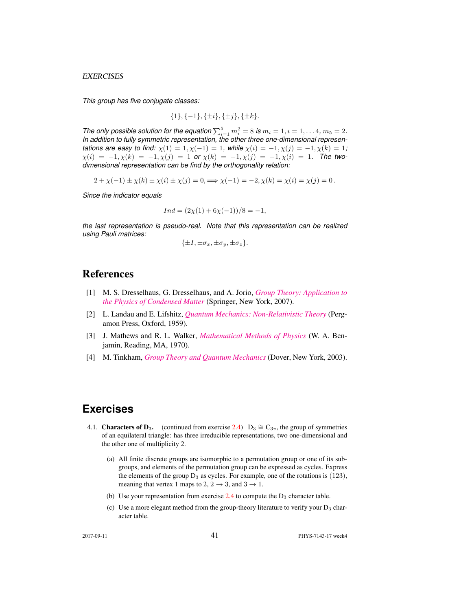*This group has five conjugate classes:*

$$
\{1\}, \{-1\}, \{\pm i\}, \{\pm j\}, \{\pm k\}.
$$

*The only possible solution for the equation*  $\sum_{i=1}^{5} m_i^2 = 8$  *is*  $m_i = 1, i = 1, \ldots 4, m_5 = 2$ *. In addition to fully symmetric representation, the other three one-dimensional representations are easy to find:*  $\chi(1) = 1, \chi(-1) = 1$ , while  $\chi(i) = -1, \chi(j) = -1, \chi(k) = 1$ ;  $\chi(i) = -1, \chi(k) = -1, \chi(j) = 1$  or  $\chi(k) = -1, \chi(j) = -1, \chi(i) = 1$ . The two*dimensional representation can be find by the orthogonality relation:*

$$
2 + \chi(-1) \pm \chi(k) \pm \chi(i) \pm \chi(j) = 0, \implies \chi(-1) = -2, \chi(k) = \chi(i) = \chi(j) = 0.
$$

*Since the indicator equals*

$$
Ind = (2\chi(1) + 6\chi(-1))/8 = -1,
$$

*the last representation is pseudo-real. Note that this representation can be realized using Pauli matrices:*

$$
\{\pm I, \pm \sigma_x, \pm \sigma_y, \pm \sigma_z\}.
$$

## References

- [1] M. S. Dresselhaus, G. Dresselhaus, and A. Jorio, *[Group Theory: Application to](http://dx.doi.org/10.1007/978-3-540-32899-5) [the Physics of Condensed Matter](http://dx.doi.org/10.1007/978-3-540-32899-5)* (Springer, New York, 2007).
- [2] L. Landau and E. Lifshitz, *[Quantum Mechanics: Non-Relativistic Theory](https://archive.org/search.php?query=creator%3A%22L.D.+Landau+%26+E.M.+Lifshitz%22)* (Pergamon Press, Oxford, 1959).
- [3] J. Mathews and R. L. Walker, *[Mathematical Methods of Physics](http://dx.doi.org/10.2307/2316002)* (W. A. Benjamin, Reading, MA, 1970).
- [4] M. Tinkham, *[Group Theory and Quantum Mechanics](http://dx.doi.org/10.1016/c2013-0-01646-5)* (Dover, New York, 2003).

# **Exercises**

- 4.1. **Characters of D**<sub>3</sub>. (continued from exercise 2.4) D<sub>3</sub>  $\cong$  C<sub>3v</sub>, the group of symmetries of an equilateral triangle: has three irreducible representations, two one-dimensional and the other one of multiplicity 2.
	- (a) All finite discrete groups are isomorphic to a permutation group or one of its subgroups, and elements of the permutation group can be expressed as cycles. Express the elements of the group  $D_3$  as cycles. For example, one of the rotations is (123), meaning that vertex 1 maps to 2,  $2 \rightarrow 3$ , and  $3 \rightarrow 1$ .
	- (b) Use your representation from exercise  $2.4$  to compute the  $D_3$  character table.
	- (c) Use a more elegant method from the group-theory literature to verify your  $D_3$  character table.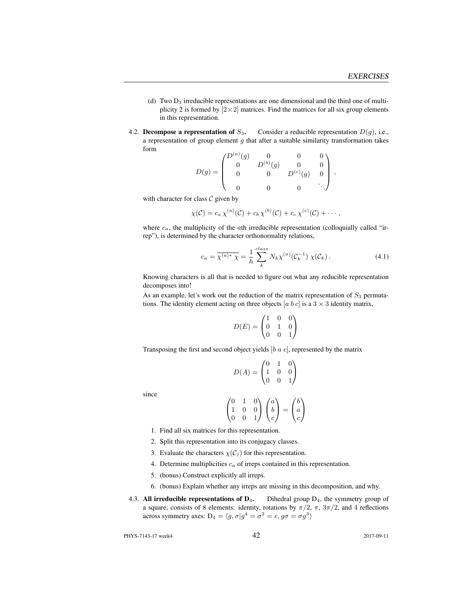- (d) Two  $D_3$  irreducible representations are one dimensional and the third one of multiplicity 2 is formed by  $[2 \times 2]$  matrices. Find the matrices for all six group elements in this representation.
- 4.2. Decompose a representation of  $S_3$ . Consider a reducible representation  $D(g)$ , i.e., a representation of group element  $g$  that after a suitable similarity transformation takes form

$$
D(g) = \begin{pmatrix} D^{(a)}(g) & 0 & 0 & 0 \\ 0 & D^{(b)}(g) & 0 & 0 \\ 0 & 0 & D^{(c)}(g) & 0 \\ 0 & 0 & 0 & \ddots \end{pmatrix},
$$

with character for class  $C$  given by

$$
\chi(\mathcal{C})=c_a\,\chi^{(a)}(\mathcal{C})+c_b\,\chi^{(b)}(\mathcal{C})+c_c\,\chi^{(c)}(\mathcal{C})+\cdots,
$$

where  $c_a$ , the multiplicity of the *a*th irreducible representation (colloquially called "irrep"), is determined by the character orthonormality relations,

$$
c_a = \overline{\chi^{(a)*} \chi} = \frac{1}{h} \sum_{k}^{class} N_k \chi^{(a)}(\mathcal{C}_k^{-1}) \chi(\mathcal{C}_k).
$$
 (4.1)

Knowing characters is all that is needed to figure out what any reducible representation decomposes into!

As an example, let's work out the reduction of the matrix representation of  $S_3$  permutations. The identity element acting on three objects [a b c] is a  $3 \times 3$  identity matrix,

$$
D(E) = \begin{pmatrix} 1 & 0 & 0 \\ 0 & 1 & 0 \\ 0 & 0 & 1 \end{pmatrix}
$$

Transposing the first and second object yields  $[b \, a \, c]$ , represented by the matrix

$$
D(A) = \begin{pmatrix} 0 & 1 & 0 \\ 1 & 0 & 0 \\ 0 & 0 & 1 \end{pmatrix}
$$

since

$$
\begin{pmatrix} 0 & 1 & 0 \ 1 & 0 & 0 \ 0 & 0 & 1 \end{pmatrix} \begin{pmatrix} a \\ b \\ c \end{pmatrix} = \begin{pmatrix} b \\ a \\ c \end{pmatrix}
$$

- 1. Find all six matrices for this representation.
- 2. Split this representation into its conjugacy classes.
- 3. Evaluate the characters  $\chi(C_j)$  for this representation.
- 4. Determine multiplicities  $c_a$  of irreps contained in this representation.
- 5. (bonus) Construct explicitly all irreps.
- 6. (bonus) Explain whether any irreps are missing in this decomposition, and why.
- 4.3. All irreducible representations of  $D_4$ . Dihedral group  $D_4$ , the symmetry group of a square, consists of 8 elements: identity, rotations by  $\pi/2$ ,  $\pi$ ,  $3\pi/2$ , and 4 reflections across symmetry axes:  $D_4 = \langle g, \sigma | g^4 = \sigma^2 = e, g\sigma = \sigma g^3 \rangle$

PHYS-7143-17 week4 2017-09-11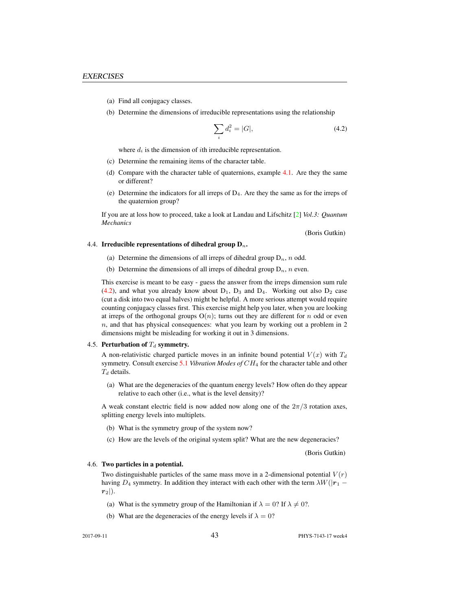- (a) Find all conjugacy classes.
- (b) Determine the dimensions of irreducible representations using the relationship

$$
\sum_{i} d_i^2 = |G|,\t\t(4.2)
$$

where  $d_i$  is the dimension of *i*th irreducible representation.

- (c) Determine the remaining items of the character table.
- (d) Compare with the character table of quaternions, example 4.1. Are they the same or different?
- (e) Determine the indicators for all irreps of D4. Are they the same as for the irreps of the quaternion group?

If you are at loss how to proceed, take a look at Landau and Lifschitz [2] *Vol.3: Quantum Mechanics*

(Boris Gutkin)

#### 4.4. Irreducible representations of dihedral group  $D_n$ .

- (a) Determine the dimensions of all irreps of dihedral group  $D_n$ , n odd.
- (b) Determine the dimensions of all irreps of dihedral group  $D_n$ , n even.

This exercise is meant to be easy - guess the answer from the irreps dimension sum rule  $(4.2)$ , and what you already know about  $D_1$ ,  $D_3$  and  $D_4$ . Working out also  $D_2$  case (cut a disk into two equal halves) might be helpful. A more serious attempt would require counting conjugacy classes first. This exercise might help you later, when you are looking at irreps of the orthogonal groups  $O(n)$ ; turns out they are different for n odd or even  $n$ , and that has physical consequences: what you learn by working out a problem in  $2$ dimensions might be misleading for working it out in 3 dimensions.

#### 4.5. Perturbation of  $T_d$  symmetry.

A non-relativistic charged particle moves in an infinite bound potential  $V(x)$  with  $T<sub>d</sub>$ symmetry. Consult exercise 5.1 *Vibration Modes of* CH<sup>4</sup> for the character table and other  $T_d$  details.

(a) What are the degeneracies of the quantum energy levels? How often do they appear relative to each other (i.e., what is the level density)?

A weak constant electric field is now added now along one of the  $2\pi/3$  rotation axes, splitting energy levels into multiplets.

- (b) What is the symmetry group of the system now?
- (c) How are the levels of the original system split? What are the new degeneracies?

(Boris Gutkin)

#### 4.6. Two particles in a potential.

Two distinguishable particles of the same mass move in a 2-dimensional potential  $V(r)$ having  $D_4$  symmetry. In addition they interact with each other with the term  $\lambda W(|r_1 - r_2|)$  $r_2$ .

- (a) What is the symmetry group of the Hamiltonian if  $\lambda = 0$ ? If  $\lambda \neq 0$ ?.
- (b) What are the degeneracies of the energy levels if  $\lambda = 0$ ?

2017-09-11 43 PHYS-7143-17 week4